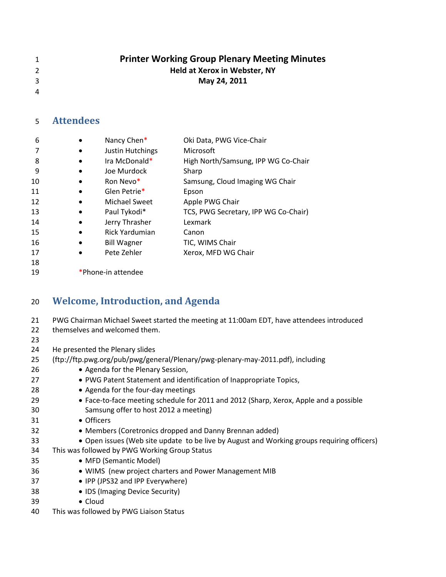- **Printer Working Group Plenary Meeting Minutes Held at Xerox in Webster, NY**
- **May 24, 2011**
- 

## **Attendees**

| 6  | Nancy Chen*                       | Oki Data, PWG Vice-Chair             |
|----|-----------------------------------|--------------------------------------|
| 7  | Justin Hutchings                  | Microsoft                            |
| 8  | Ira McDonald*                     | High North/Samsung, IPP WG Co-Chair  |
| 9  | Joe Murdock                       | Sharp                                |
| 10 | Ron Nevo <sup>*</sup>             | Samsung, Cloud Imaging WG Chair      |
| 11 | Glen Petrie*                      | Epson                                |
| 12 | <b>Michael Sweet</b><br>$\bullet$ | Apple PWG Chair                      |
| 13 | Paul Tykodi*                      | TCS, PWG Secretary, IPP WG Co-Chair) |
| 14 | Jerry Thrasher                    | Lexmark                              |
| 15 | Rick Yardumian<br>$\bullet$       | Canon                                |
| 16 | <b>Bill Wagner</b><br>$\bullet$   | TIC, WIMS Chair                      |
| 17 | Pete Zehler                       | Xerox, MFD WG Chair                  |
| 18 |                                   |                                      |
|    |                                   |                                      |

\*Phone-in attendee

## **Welcome, Introduction, and Agenda**

| 21 | PWG Chairman Michael Sweet started the meeting at 11:00am EDT, have attendees introduced   |
|----|--------------------------------------------------------------------------------------------|
| 22 | themselves and welcomed them.                                                              |
| 23 |                                                                                            |
| 24 | He presented the Plenary slides                                                            |
| 25 | (ftp://ftp.pwg.org/pub/pwg/general/Plenary/pwg-plenary-may-2011.pdf), including            |
| 26 | • Agenda for the Plenary Session,                                                          |
| 27 | • PWG Patent Statement and identification of Inappropriate Topics,                         |
| 28 | • Agenda for the four-day meetings                                                         |
| 29 | • Face-to-face meeting schedule for 2011 and 2012 (Sharp, Xerox, Apple and a possible      |
| 30 | Samsung offer to host 2012 a meeting)                                                      |
| 31 | • Officers                                                                                 |
| 32 | • Members (Coretronics dropped and Danny Brennan added)                                    |
| 33 | • Open issues (Web site update to be live by August and Working groups requiring officers) |
| 34 | This was followed by PWG Working Group Status                                              |
| 35 | • MFD (Semantic Model)                                                                     |
| 36 | . WIMS (new project charters and Power Management MIB                                      |
| 37 | • IPP (JPS32 and IPP Everywhere)                                                           |
| 38 | • IDS (Imaging Device Security)                                                            |
| 39 | • Cloud                                                                                    |
| 40 | This was followed by PWG Liaison Status                                                    |